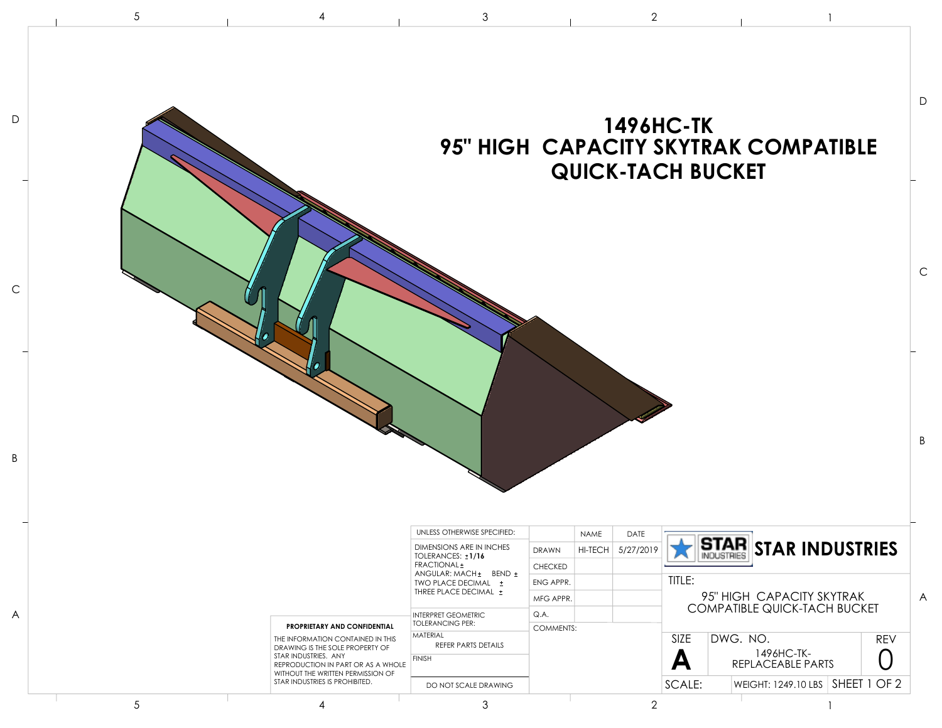